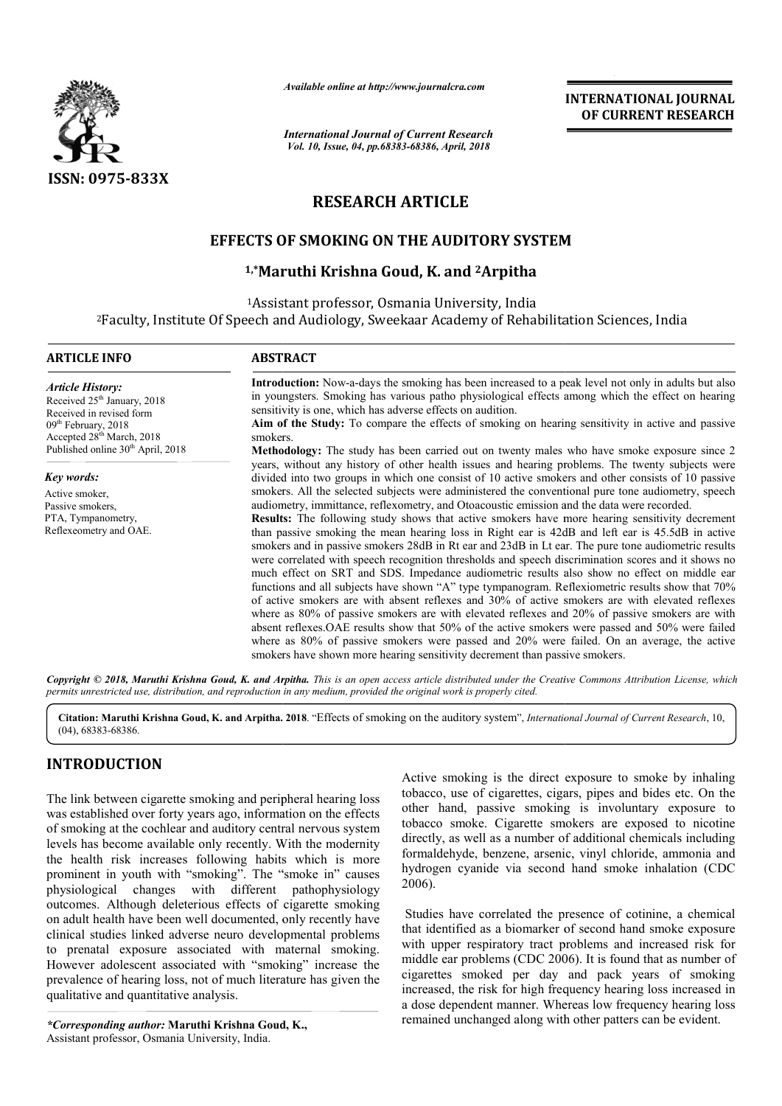

*Available online at http://www.journalcra.com*

# **RESEARCH ARTICLE**

## **EFFECTS OF SMOKING ON THE AUDITORY SYSTEM SMOKING ON**

## **1,\*Maruthi Krishna Goud, K. and Maruthi 2Arpitha**

|                                                                                                                                                                                                                                                                                                                                                                                                                                       | unuvit vnime ui nup://www.jvurnuicru.com                                                                                                                                                                                                                                                                                                                                                                                                                                             | <b>INTERNATIONAL JOURNAL</b><br>OF CURRENT RESEARCH                                                                                                                                                                                                                                                                                                                                                                                                                                                                                                                                                                                                                                                                                                                                                                                                                                                                                                                                                                                                                                                                                                                                                                                                                                                                                                                                                                                                                                                                           |  |  |  |  |  |  |
|---------------------------------------------------------------------------------------------------------------------------------------------------------------------------------------------------------------------------------------------------------------------------------------------------------------------------------------------------------------------------------------------------------------------------------------|--------------------------------------------------------------------------------------------------------------------------------------------------------------------------------------------------------------------------------------------------------------------------------------------------------------------------------------------------------------------------------------------------------------------------------------------------------------------------------------|-------------------------------------------------------------------------------------------------------------------------------------------------------------------------------------------------------------------------------------------------------------------------------------------------------------------------------------------------------------------------------------------------------------------------------------------------------------------------------------------------------------------------------------------------------------------------------------------------------------------------------------------------------------------------------------------------------------------------------------------------------------------------------------------------------------------------------------------------------------------------------------------------------------------------------------------------------------------------------------------------------------------------------------------------------------------------------------------------------------------------------------------------------------------------------------------------------------------------------------------------------------------------------------------------------------------------------------------------------------------------------------------------------------------------------------------------------------------------------------------------------------------------------|--|--|--|--|--|--|
|                                                                                                                                                                                                                                                                                                                                                                                                                                       | <b>International Journal of Current Research</b><br>Vol. 10, Issue, 04, pp.68383-68386, April, 2018                                                                                                                                                                                                                                                                                                                                                                                  |                                                                                                                                                                                                                                                                                                                                                                                                                                                                                                                                                                                                                                                                                                                                                                                                                                                                                                                                                                                                                                                                                                                                                                                                                                                                                                                                                                                                                                                                                                                               |  |  |  |  |  |  |
| ISSN: 0975-833X                                                                                                                                                                                                                                                                                                                                                                                                                       |                                                                                                                                                                                                                                                                                                                                                                                                                                                                                      |                                                                                                                                                                                                                                                                                                                                                                                                                                                                                                                                                                                                                                                                                                                                                                                                                                                                                                                                                                                                                                                                                                                                                                                                                                                                                                                                                                                                                                                                                                                               |  |  |  |  |  |  |
|                                                                                                                                                                                                                                                                                                                                                                                                                                       | <b>RESEARCH ARTICLE</b>                                                                                                                                                                                                                                                                                                                                                                                                                                                              |                                                                                                                                                                                                                                                                                                                                                                                                                                                                                                                                                                                                                                                                                                                                                                                                                                                                                                                                                                                                                                                                                                                                                                                                                                                                                                                                                                                                                                                                                                                               |  |  |  |  |  |  |
|                                                                                                                                                                                                                                                                                                                                                                                                                                       |                                                                                                                                                                                                                                                                                                                                                                                                                                                                                      | <b>EFFECTS OF SMOKING ON THE AUDITORY SYSTEM</b>                                                                                                                                                                                                                                                                                                                                                                                                                                                                                                                                                                                                                                                                                                                                                                                                                                                                                                                                                                                                                                                                                                                                                                                                                                                                                                                                                                                                                                                                              |  |  |  |  |  |  |
|                                                                                                                                                                                                                                                                                                                                                                                                                                       | <sup>1,*</sup> Maruthi Krishna Goud, K. and <sup>2</sup> Arpitha                                                                                                                                                                                                                                                                                                                                                                                                                     |                                                                                                                                                                                                                                                                                                                                                                                                                                                                                                                                                                                                                                                                                                                                                                                                                                                                                                                                                                                                                                                                                                                                                                                                                                                                                                                                                                                                                                                                                                                               |  |  |  |  |  |  |
|                                                                                                                                                                                                                                                                                                                                                                                                                                       | <sup>1</sup> Assistant professor, Osmania University, India                                                                                                                                                                                                                                                                                                                                                                                                                          | <sup>2</sup> Faculty, Institute Of Speech and Audiology, Sweekaar Academy of Rehabilitation Sciences, India                                                                                                                                                                                                                                                                                                                                                                                                                                                                                                                                                                                                                                                                                                                                                                                                                                                                                                                                                                                                                                                                                                                                                                                                                                                                                                                                                                                                                   |  |  |  |  |  |  |
| <b>ARTICLE INFO</b>                                                                                                                                                                                                                                                                                                                                                                                                                   | <b>ABSTRACT</b>                                                                                                                                                                                                                                                                                                                                                                                                                                                                      |                                                                                                                                                                                                                                                                                                                                                                                                                                                                                                                                                                                                                                                                                                                                                                                                                                                                                                                                                                                                                                                                                                                                                                                                                                                                                                                                                                                                                                                                                                                               |  |  |  |  |  |  |
| <b>Article History:</b><br>Received 25 <sup>th</sup> January, 2018<br>Received in revised form<br>09 <sup>th</sup> February, 2018<br>Accepted 28 <sup>th</sup> March, 2018<br>Published online 30 <sup>th</sup> April, 2018                                                                                                                                                                                                           | Introduction: Now-a-days the smoking has been increased to a peak level not only in adults but also<br>in youngsters. Smoking has various patho physiological effects among which the effect on hearing<br>sensitivity is one, which has adverse effects on audition.<br>Aim of the Study: To compare the effects of smoking on hearing sensitivity in active and passive<br>smokers.<br>Methodology: The study has been carried out on twenty males who have smoke exposure since 2 |                                                                                                                                                                                                                                                                                                                                                                                                                                                                                                                                                                                                                                                                                                                                                                                                                                                                                                                                                                                                                                                                                                                                                                                                                                                                                                                                                                                                                                                                                                                               |  |  |  |  |  |  |
| Key words:<br>Active smoker,<br>Passive smokers,<br>PTA, Tympanometry,<br>Reflexeometry and OAE.                                                                                                                                                                                                                                                                                                                                      |                                                                                                                                                                                                                                                                                                                                                                                                                                                                                      | years, without any history of other health issues and hearing problems. The twenty subjects were<br>divided into two groups in which one consist of 10 active smokers and other consists of 10 passive<br>smokers. All the selected subjects were administered the conventional pure tone audiometry, speech<br>audiometry, immittance, reflexometry, and Otoacoustic emission and the data were recorded.<br>Results: The following study shows that active smokers have more hearing sensitivity decrement<br>than passive smoking the mean hearing loss in Right ear is 42dB and left ear is 45.5dB in active<br>smokers and in passive smokers 28dB in Rt ear and 23dB in Lt ear. The pure tone audiometric results<br>were correlated with speech recognition thresholds and speech discrimination scores and it shows no<br>much effect on SRT and SDS. Impedance audiometric results also show no effect on middle ear<br>functions and all subjects have shown "A" type tympanogram. Reflexiometric results show that 70%<br>of active smokers are with absent reflexes and 30% of active smokers are with elevated reflexes<br>where as $80\%$ of passive smokers are with elevated reflexes and $20\%$ of passive smokers are with<br>absent reflexes. OAE results show that 50% of the active smokers were passed and 50% were failed<br>where as 80% of passive smokers were passed and 20% were failed. On an average, the active<br>smokers have shown more hearing sensitivity decrement than passive smokers. |  |  |  |  |  |  |
|                                                                                                                                                                                                                                                                                                                                                                                                                                       | permits unrestricted use, distribution, and reproduction in any medium, provided the original work is properly cited.                                                                                                                                                                                                                                                                                                                                                                | Copyright © 2018, Maruthi Krishna Goud, K. and Arpitha. This is an open access article distributed under the Creative Commons Attribution License, which<br>Citation: Maruthi Krishna Goud, K. and Arpitha. 2018. "Effects of smoking on the auditory system", International Journal of Current Research, 10,                                                                                                                                                                                                                                                                                                                                                                                                                                                                                                                                                                                                                                                                                                                                                                                                                                                                                                                                                                                                                                                                                                                                                                                                                 |  |  |  |  |  |  |
| $(04)$ , 68383-68386.                                                                                                                                                                                                                                                                                                                                                                                                                 |                                                                                                                                                                                                                                                                                                                                                                                                                                                                                      |                                                                                                                                                                                                                                                                                                                                                                                                                                                                                                                                                                                                                                                                                                                                                                                                                                                                                                                                                                                                                                                                                                                                                                                                                                                                                                                                                                                                                                                                                                                               |  |  |  |  |  |  |
| <b>INTRODUCTION</b><br>The link between cigarette smoking and peripheral hearing loss<br>was established over forty years ago, information on the effects<br>of smoking at the cochlear and auditory central nervous system<br>levels has become available only recently. With the modernity<br>the health risk increases following habits which is more<br>prominent in youth with "smoking". The "smoke in" causes<br>physiological | changes with different pathophysiology                                                                                                                                                                                                                                                                                                                                                                                                                                               | Active smoking is the direct exposure to smoke by inhaling<br>tobacco, use of cigarettes, cigars, pipes and bides etc. On the<br>other hand, passive smoking is involuntary exposure to<br>tobacco smoke. Cigarette smokers are exposed to nicotine<br>directly, as well as a number of additional chemicals including<br>formaldehyde, benzene, arsenic, vinyl chloride, ammonia and<br>hydrogen cyanide via second hand smoke inhalation (CDC<br>2006).                                                                                                                                                                                                                                                                                                                                                                                                                                                                                                                                                                                                                                                                                                                                                                                                                                                                                                                                                                                                                                                                     |  |  |  |  |  |  |
| outcomes. Although deleterious effects of cigarette smoking<br>on adult health have been well documented, only recently have<br>clinical studies linked adverse neuro developmental problems<br>to prenatal exposure associated with maternal smoking.<br>However adolescent associated with "smoking" increase the<br>prevalence of hearing loss, not of much literature has given the<br>qualitative and quantitative analysis.     |                                                                                                                                                                                                                                                                                                                                                                                                                                                                                      | Studies have correlated the presence of cotinine, a chemical<br>that identified as a biomarker of second hand smoke exposure<br>with upper respiratory tract problems and increased risk for<br>middle ear problems (CDC 2006). It is found that as number of<br>cigarettes smoked per day and pack years of smoking<br>increased, the risk for high frequency hearing loss increased in<br>a dose dependent manner. Whereas low frequency hearing loss                                                                                                                                                                                                                                                                                                                                                                                                                                                                                                                                                                                                                                                                                                                                                                                                                                                                                                                                                                                                                                                                       |  |  |  |  |  |  |
| *Corresponding author: Maruthi Krishna Coud, K.                                                                                                                                                                                                                                                                                                                                                                                       |                                                                                                                                                                                                                                                                                                                                                                                                                                                                                      | remained unchanged along with other patters can be evident.                                                                                                                                                                                                                                                                                                                                                                                                                                                                                                                                                                                                                                                                                                                                                                                                                                                                                                                                                                                                                                                                                                                                                                                                                                                                                                                                                                                                                                                                   |  |  |  |  |  |  |

## **INTRODUCTION**

*\*Corresponding author:* **Maruthi Krishna Goud, K. K.,** Assistant professor, Osmania University, India.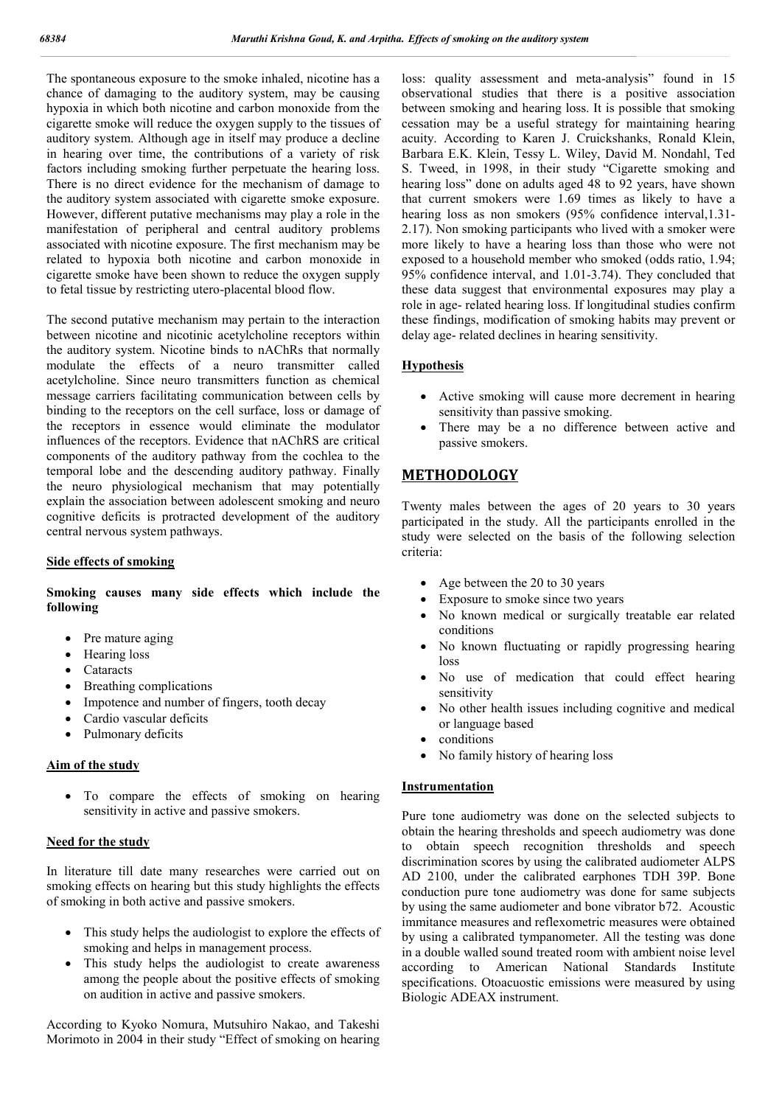The spontaneous exposure to the smoke inhaled, nicotine has a chance of damaging to the auditory system, may be causing hypoxia in which both nicotine and carbon monoxide from the cigarette smoke will reduce the oxygen supply to the tissues of auditory system. Although age in itself may produce a decline in hearing over time, the contributions of a variety of risk factors including smoking further perpetuate the hearing loss. There is no direct evidence for the mechanism of damage to the auditory system associated with cigarette smoke exposure. However, different putative mechanisms may play a role in the manifestation of peripheral and central auditory problems associated with nicotine exposure. The first mechanism may be related to hypoxia both nicotine and carbon monoxide in cigarette smoke have been shown to reduce the oxygen supply to fetal tissue by restricting utero-placental blood flow.

The second putative mechanism may pertain to the interaction between nicotine and nicotinic acetylcholine receptors within the auditory system. Nicotine binds to nAChRs that normally modulate the effects of a neuro transmitter called acetylcholine. Since neuro transmitters function as chemical message carriers facilitating communication between cells by binding to the receptors on the cell surface, loss or damage of the receptors in essence would eliminate the modulator influences of the receptors. Evidence that nAChRS are critical components of the auditory pathway from the cochlea to the temporal lobe and the descending auditory pathway. Finally the neuro physiological mechanism that may potentially explain the association between adolescent smoking and neuro cognitive deficits is protracted development of the auditory central nervous system pathways.

#### **Side effects of smoking**

### **Smoking causes many side effects which include the following**

- $\bullet$  Pre mature aging
- Hearing loss
- **Cataracts**
- Breathing complications
- Impotence and number of fingers, tooth decay
- Cardio vascular deficits
- Pulmonary deficits

### **Aim of the study**

 To compare the effects of smoking on hearing sensitivity in active and passive smokers.

### **Need for the study**

In literature till date many researches were carried out on smoking effects on hearing but this study highlights the effects of smoking in both active and passive smokers.

- This study helps the audiologist to explore the effects of smoking and helps in management process.
- This study helps the audiologist to create awareness among the people about the positive effects of smoking on audition in active and passive smokers.

According to Kyoko Nomura, Mutsuhiro Nakao, and Takeshi Morimoto in 2004 in their study "Effect of smoking on hearing loss: quality assessment and meta-analysis" found in 15 observational studies that there is a positive association between smoking and hearing loss. It is possible that smoking cessation may be a useful strategy for maintaining hearing acuity. According to Karen J. Cruickshanks, Ronald Klein, Barbara E.K. Klein, Tessy L. Wiley, David M. Nondahl, Ted S. Tweed, in 1998, in their study "Cigarette smoking and hearing loss" done on adults aged 48 to 92 years, have shown that current smokers were 1.69 times as likely to have a hearing loss as non smokers (95% confidence interval,1.31- 2.17). Non smoking participants who lived with a smoker were more likely to have a hearing loss than those who were not exposed to a household member who smoked (odds ratio, 1.94; 95% confidence interval, and 1.01-3.74). They concluded that these data suggest that environmental exposures may play a role in age- related hearing loss. If longitudinal studies confirm these findings, modification of smoking habits may prevent or delay age- related declines in hearing sensitivity.

### **Hypothesis**

- Active smoking will cause more decrement in hearing sensitivity than passive smoking.
- There may be a no difference between active and passive smokers.

## **METHODOLOGY**

Twenty males between the ages of 20 years to 30 years participated in the study. All the participants enrolled in the study were selected on the basis of the following selection criteria:

- Age between the 20 to 30 years
- Exposure to smoke since two years
- No known medical or surgically treatable ear related conditions
- No known fluctuating or rapidly progressing hearing loss
- No use of medication that could effect hearing sensitivity
- No other health issues including cognitive and medical or language based
- conditions
- No family history of hearing loss

#### **Instrumentation**

Pure tone audiometry was done on the selected subjects to obtain the hearing thresholds and speech audiometry was done to obtain speech recognition thresholds and speech discrimination scores by using the calibrated audiometer ALPS AD 2100, under the calibrated earphones TDH 39P. Bone conduction pure tone audiometry was done for same subjects by using the same audiometer and bone vibrator b72. Acoustic immitance measures and reflexometric measures were obtained by using a calibrated tympanometer. All the testing was done in a double walled sound treated room with ambient noise level according to American National Standards Institute specifications. Otoacuostic emissions were measured by using Biologic ADEAX instrument.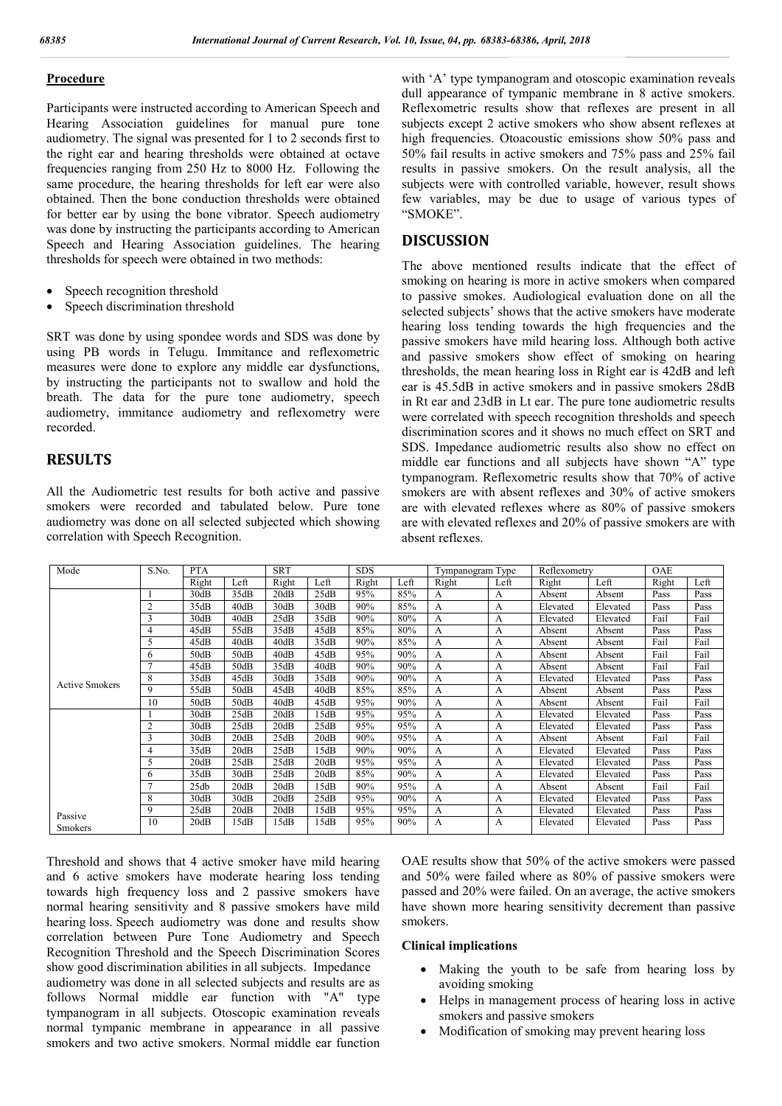### **Procedure**

Participants were instructed according to American Speech and Hearing Association guidelines for manual pure tone audiometry. The signal was presented for 1 to 2 seconds first to the right ear and hearing thresholds were obtained at octave frequencies ranging from 250 Hz to 8000 Hz. Following the same procedure, the hearing thresholds for left ear were also obtained. Then the bone conduction thresholds were obtained for better ear by using the bone vibrator. Speech audiometry was done by instructing the participants according to American Speech and Hearing Association guidelines. The hearing thresholds for speech were obtained in two methods:

- Speech recognition threshold
- Speech discrimination threshold

SRT was done by using spondee words and SDS was done by using PB words in Telugu. Immitance and reflexometric measures were done to explore any middle ear dysfunctions, by instructing the participants not to swallow and hold the breath. The data for the pure tone audiometry, speech audiometry, immitance audiometry and reflexometry were recorded.

## **RESULTS**

All the Audiometric test results for both active and passive smokers were recorded and tabulated below. Pure tone audiometry was done on all selected subjected which showing correlation with Speech Recognition.

with 'A' type tympanogram and otoscopic examination reveals dull appearance of tympanic membrane in 8 active smokers. Reflexometric results show that reflexes are present in all subjects except 2 active smokers who show absent reflexes at high frequencies. Otoacoustic emissions show 50% pass and 50% fail results in active smokers and 75% pass and 25% fail results in passive smokers. On the result analysis, all the subjects were with controlled variable, however, result shows few variables, may be due to usage of various types of "SMOKE".

## **DISCUSSION**

The above mentioned results indicate that the effect of smoking on hearing is more in active smokers when compared to passive smokes. Audiological evaluation done on all the selected subjects' shows that the active smokers have moderate hearing loss tending towards the high frequencies and the passive smokers have mild hearing loss. Although both active and passive smokers show effect of smoking on hearing thresholds, the mean hearing loss in Right ear is 42dB and left ear is 45.5dB in active smokers and in passive smokers 28dB in Rt ear and 23dB in Lt ear. The pure tone audiometric results were correlated with speech recognition thresholds and speech discrimination scores and it shows no much effect on SRT and SDS. Impedance audiometric results also show no effect on middle ear functions and all subjects have shown "A" type tympanogram. Reflexometric results show that 70% of active smokers are with absent reflexes and 30% of active smokers are with elevated reflexes where as 80% of passive smokers are with elevated reflexes and 20% of passive smokers are with absent reflexes.

| Mode                      | S.No.          | <b>PTA</b> |      | <b>SRT</b> |      | <b>SDS</b> |      | Tympanogram Type |      | Reflexometry |          | OAE   |      |
|---------------------------|----------------|------------|------|------------|------|------------|------|------------------|------|--------------|----------|-------|------|
|                           |                | Right      | Left | Right      | Left | Right      | Left | Right            | Left | Right        | Left     | Right | Left |
|                           |                | 30dB       | 35dB | 20dB       | 25dB | 95%        | 85%  | А                | A    | Absent       | Absent   | Pass  | Pass |
|                           |                | 35dB       | 40dB | 30dB       | 30dB | 90%        | 85%  | $\mathsf{A}$     | A    | Elevated     | Elevated | Pass  | Pass |
|                           | 3              | 30dB       | 40dB | 25dB       | 35dB | 90%        | 80%  | A                | A    | Elevated     | Elevated | Fail  | Fail |
|                           |                | 45dB       | 55dB | 35dB       | 45dB | 85%        | 80%  | A                | A    | Absent       | Absent   | Pass  | Pass |
|                           |                | 45dB       | 40dB | 40dB       | 35dB | 90%        | 85%  | A                | A    | Absent       | Absent   | Fail  | Fail |
|                           | 6              | 50dB       | 50dB | 40dB       | 45dB | 95%        | 90%  | A                | A    | Absent       | Absent   | Fail  | Fail |
|                           |                | 45dB       | 50dB | 35dB       | 40dB | 90%        | 90%  | A                | A    | Absent       | Absent   | Fail  | Fail |
| <b>Active Smokers</b>     | 8              | 35dB       | 45dB | 30dB       | 35dB | 90%        | 90%  | A                | A    | Elevated     | Elevated | Pass  | Pass |
|                           | 9              | 55dB       | 50dB | 45dB       | 40dB | 85%        | 85%  | A                | A    | Absent       | Absent   | Pass  | Pass |
|                           | 10             | 50dB       | 50dB | 40dB       | 45dB | 95%        | 90%  | А                | А    | Absent       | Absent   | Fail  | Fail |
|                           |                | 30dB       | 25dB | 20dB       | 15dB | 95%        | 95%  | A                | A    | Elevated     | Elevated | Pass  | Pass |
|                           | $\overline{2}$ | 30dB       | 25dB | 20dB       | 25dB | 95%        | 95%  | A                | A    | Elevated     | Elevated | Pass  | Pass |
|                           | 3              | 30dB       | 20dB | 25dB       | 20dB | 90%        | 95%  | A                | А    | Absent       | Absent   | Fail  | Fail |
|                           |                | 35dB       | 20dB | 25dB       | 15dB | 90%        | 90%  | A                | A    | Elevated     | Elevated | Pass  | Pass |
|                           | 5              | 20dB       | 25dB | 25dB       | 20dB | 95%        | 95%  | A                | A    | Elevated     | Elevated | Pass  | Pass |
|                           | 6              | 35dB       | 30dB | 25dB       | 20dB | 85%        | 90%  | А                | А    | Elevated     | Elevated | Pass  | Pass |
|                           |                | 25db       | 20dB | 20dB       | 15dB | 90%        | 95%  | A                | A    | Absent       | Absent   | Fail  | Fail |
|                           | 8              | 30dB       | 30dB | 20dB       | 25dB | 95%        | 90%  | A                | A    | Elevated     | Elevated | Pass  | Pass |
|                           | 9              | 25dB       | 20dB | 20dB       | 15dB | 95%        | 95%  | A                | A    | Elevated     | Elevated | Pass  | Pass |
| Passive<br><b>Smokers</b> | 10             | 20dB       | 15dB | 15dB       | 15dB | 95%        | 90%  | A                | A    | Elevated     | Elevated | Pass  | Pass |

Threshold and shows that 4 active smoker have mild hearing and 6 active smokers have moderate hearing loss tending towards high frequency loss and 2 passive smokers have normal hearing sensitivity and 8 passive smokers have mild hearing loss. Speech audiometry was done and results show correlation between Pure Tone Audiometry and Speech Recognition Threshold and the Speech Discrimination Scores show good discrimination abilities in all subjects. Impedance

audiometry was done in all selected subjects and results are as follows Normal middle ear function with "A" type tympanogram in all subjects. Otoscopic examination reveals normal tympanic membrane in appearance in all passive smokers and two active smokers. Normal middle ear function

OAE results show that 50% of the active smokers were passed and 50% were failed where as 80% of passive smokers were passed and 20% were failed. On an average, the active smokers have shown more hearing sensitivity decrement than passive smokers.

#### **Clinical implications**

- Making the youth to be safe from hearing loss by avoiding smoking
- Helps in management process of hearing loss in active smokers and passive smokers
- Modification of smoking may prevent hearing loss